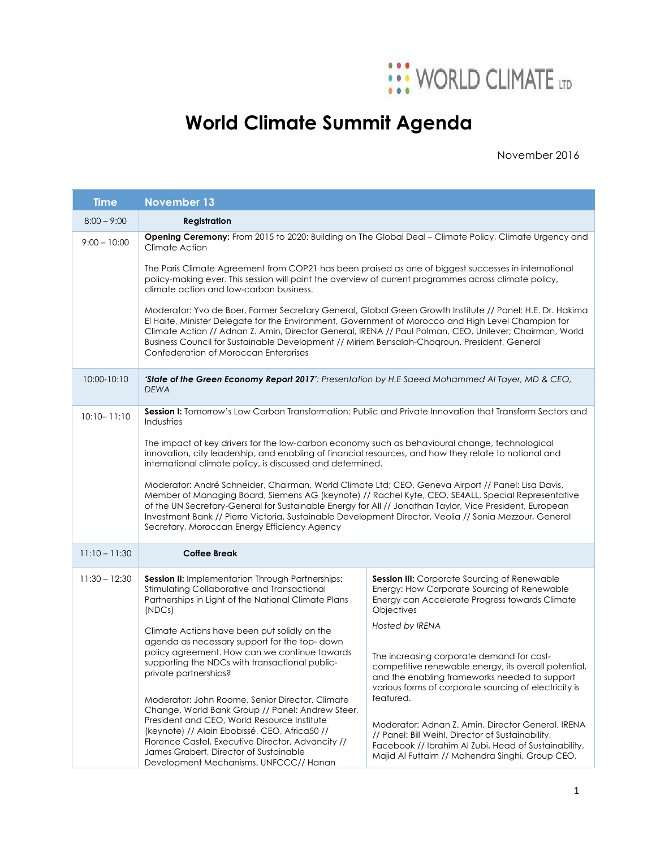

## **World Climate Summit Agenda**

November 2016

| <b>Time</b>     | <b>November 13</b>                                                                                                                                                                                                                                                                                                                                                                                                                                                                                                                                                                                                                                                                                                                                                                                                                                                                |                                                                                                                                                                                                                                |  |
|-----------------|-----------------------------------------------------------------------------------------------------------------------------------------------------------------------------------------------------------------------------------------------------------------------------------------------------------------------------------------------------------------------------------------------------------------------------------------------------------------------------------------------------------------------------------------------------------------------------------------------------------------------------------------------------------------------------------------------------------------------------------------------------------------------------------------------------------------------------------------------------------------------------------|--------------------------------------------------------------------------------------------------------------------------------------------------------------------------------------------------------------------------------|--|
| $8:00 - 9:00$   | Registration                                                                                                                                                                                                                                                                                                                                                                                                                                                                                                                                                                                                                                                                                                                                                                                                                                                                      |                                                                                                                                                                                                                                |  |
| $9:00 - 10:00$  | Opening Ceremony: From 2015 to 2020: Building on The Global Deal - Climate Policy, Climate Urgency and<br>Climate Action                                                                                                                                                                                                                                                                                                                                                                                                                                                                                                                                                                                                                                                                                                                                                          |                                                                                                                                                                                                                                |  |
|                 | The Paris Climate Agreement from COP21 has been praised as one of biggest successes in international<br>policy-making ever. This session will paint the overview of current programmes across climate policy,<br>climate action and low-carbon business.                                                                                                                                                                                                                                                                                                                                                                                                                                                                                                                                                                                                                          |                                                                                                                                                                                                                                |  |
|                 | Moderator: Yvo de Boer, Former Secretary General, Global Green Growth Institute // Panel: H.E. Dr. Hakima<br>El Haite, Minister Delegate for the Environment, Government of Morocco and High Level Champion for<br>Climate Action // Adnan Z. Amin, Director General, IRENA // Paul Polman, CEO, Unilever; Chairman, World<br>Business Council for Sustainable Development // Miriem Bensalah-Chaqroun, President, General<br>Confederation of Moroccan Enterprises                                                                                                                                                                                                                                                                                                                                                                                                               |                                                                                                                                                                                                                                |  |
| 10:00-10:10     | 'State of the Green Economy Report 2017': Presentation by H.E Saeed Mohammed Al Tayer, MD & CEO,<br><b>DEWA</b>                                                                                                                                                                                                                                                                                                                                                                                                                                                                                                                                                                                                                                                                                                                                                                   |                                                                                                                                                                                                                                |  |
| $10:10 - 11:10$ | Session I: Tomorrow's Low Carbon Transformation: Public and Private Innovation that Transform Sectors and<br>Industries<br>The impact of key drivers for the low-carbon economy such as behavioural change, technological<br>innovation, city leadership, and enabling of financial resources, and how they relate to national and<br>international climate policy, is discussed and determined.<br>Moderator: André Schneider, Chairman, World Climate Ltd; CEO, Geneva Airport // Panel: Lisa Davis,<br>Member of Managing Board, Siemens AG (keynote) // Rachel Kyte, CEO, SE4ALL, Special Representative<br>of the UN Secretary-General for Sustainable Energy for All // Jonathan Taylor, Vice President, European<br>Investment Bank // Pierre Victoria, Sustainable Development Director, Veolia // Sonia Mezzour, General<br>Secretary, Moroccan Energy Efficiency Agency |                                                                                                                                                                                                                                |  |
|                 |                                                                                                                                                                                                                                                                                                                                                                                                                                                                                                                                                                                                                                                                                                                                                                                                                                                                                   |                                                                                                                                                                                                                                |  |
|                 |                                                                                                                                                                                                                                                                                                                                                                                                                                                                                                                                                                                                                                                                                                                                                                                                                                                                                   |                                                                                                                                                                                                                                |  |
| $11:10 - 11:30$ | <b>Coffee Break</b>                                                                                                                                                                                                                                                                                                                                                                                                                                                                                                                                                                                                                                                                                                                                                                                                                                                               |                                                                                                                                                                                                                                |  |
| $11:30 - 12:30$ | <b>Session II:</b> Implementation Through Partnerships:<br>Stimulating Collaborative and Transactional<br>Partnerships in Light of the National Climate Plans<br>(NDCs)                                                                                                                                                                                                                                                                                                                                                                                                                                                                                                                                                                                                                                                                                                           | <b>Session III:</b> Corporate Sourcing of Renewable<br>Energy: How Corporate Sourcing of Renewable<br>Energy can Accelerate Progress towards Climate<br>Objectives                                                             |  |
|                 | Climate Actions have been put solidly on the<br>agenda as necessary support for the top-down<br>policy agreement. How can we continue towards<br>supporting the NDCs with transactional public-<br>private partnerships?<br>Moderator: John Roome, Senior Director, Climate<br>Change, World Bank Group // Panel: Andrew Steer,<br>President and CEO, World Resource Institute<br>(keynote) // Alain Ebobissé, CEO, Africa50 //<br>Florence Castel, Executive Director, Advancity //<br>James Grabert, Director of Sustainable<br>Development Mechanisms, UNFCCC// Hanan                                                                                                                                                                                                                                                                                                          | Hosted by IRENA                                                                                                                                                                                                                |  |
|                 |                                                                                                                                                                                                                                                                                                                                                                                                                                                                                                                                                                                                                                                                                                                                                                                                                                                                                   | The increasing corporate demand for cost-<br>competitive renewable energy, its overall potential,<br>and the enabling frameworks needed to support<br>various forms of corporate sourcing of electricity is                    |  |
|                 |                                                                                                                                                                                                                                                                                                                                                                                                                                                                                                                                                                                                                                                                                                                                                                                                                                                                                   | featured.<br>Moderator: Adnan Z. Amin, Director General, IRENA<br>// Panel: Bill Weihl, Director of Sustainability,<br>Facebook // Ibrahim Al Zubi, Head of Sustainability,<br>Majid Al Futtaim // Mahendra Singhi, Group CEO, |  |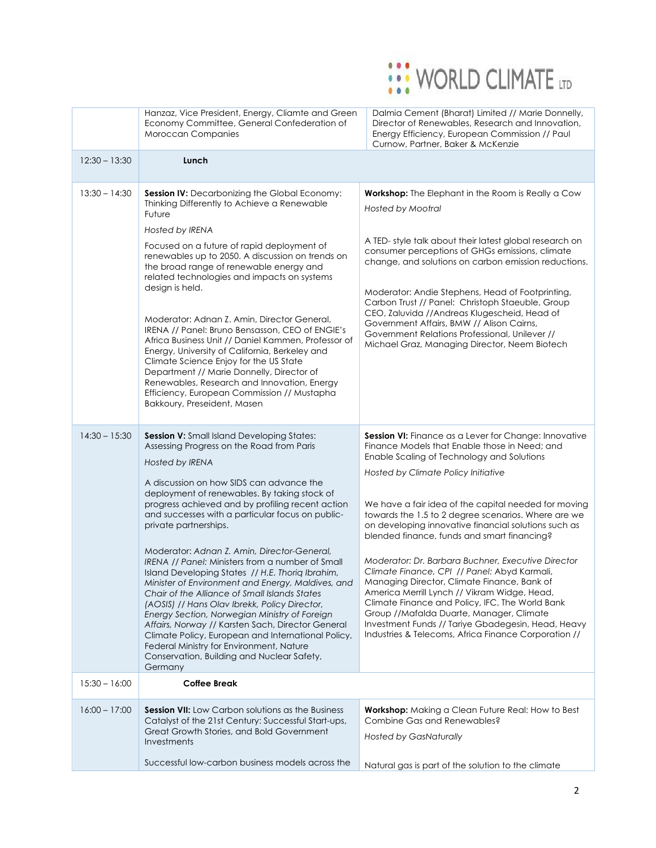

|                 | Hanzaz, Vice President, Energy, Cliamte and Green<br>Economy Committee, General Confederation of<br>Moroccan Companies                                                                                                                                                                                                                                                                                                                                                                                                                                                                                                                                                                                                                                                                                                                                                                                                 | Dalmia Cement (Bharat) Limited // Marie Donnelly,<br>Director of Renewables, Research and Innovation,<br>Energy Efficiency, European Commission // Paul<br>Curnow, Partner, Baker & McKenzie                                                                                                                                                                                                                                                                                                                                                                                                                                                                                                                                                                                                                                               |
|-----------------|------------------------------------------------------------------------------------------------------------------------------------------------------------------------------------------------------------------------------------------------------------------------------------------------------------------------------------------------------------------------------------------------------------------------------------------------------------------------------------------------------------------------------------------------------------------------------------------------------------------------------------------------------------------------------------------------------------------------------------------------------------------------------------------------------------------------------------------------------------------------------------------------------------------------|--------------------------------------------------------------------------------------------------------------------------------------------------------------------------------------------------------------------------------------------------------------------------------------------------------------------------------------------------------------------------------------------------------------------------------------------------------------------------------------------------------------------------------------------------------------------------------------------------------------------------------------------------------------------------------------------------------------------------------------------------------------------------------------------------------------------------------------------|
| $12:30 - 13:30$ | Lunch                                                                                                                                                                                                                                                                                                                                                                                                                                                                                                                                                                                                                                                                                                                                                                                                                                                                                                                  |                                                                                                                                                                                                                                                                                                                                                                                                                                                                                                                                                                                                                                                                                                                                                                                                                                            |
| $13:30 - 14:30$ | Session IV: Decarbonizing the Global Economy:<br>Thinking Differently to Achieve a Renewable<br>Future<br>Hosted by IRENA                                                                                                                                                                                                                                                                                                                                                                                                                                                                                                                                                                                                                                                                                                                                                                                              | <b>Workshop:</b> The Elephant in the Room is Really a Cow<br>Hosted by Mootral                                                                                                                                                                                                                                                                                                                                                                                                                                                                                                                                                                                                                                                                                                                                                             |
|                 | Focused on a future of rapid deployment of<br>renewables up to 2050. A discussion on trends on<br>the broad range of renewable energy and<br>related technologies and impacts on systems                                                                                                                                                                                                                                                                                                                                                                                                                                                                                                                                                                                                                                                                                                                               | A TED-style talk about their latest global research on<br>consumer perceptions of GHGs emissions, climate<br>change, and solutions on carbon emission reductions.                                                                                                                                                                                                                                                                                                                                                                                                                                                                                                                                                                                                                                                                          |
|                 | design is held.<br>Moderator: Adnan Z. Amin, Director General,<br>IRENA // Panel: Bruno Bensasson, CEO of ENGIE's<br>Africa Business Unit // Daniel Kammen, Professor of<br>Energy, University of California, Berkeley and<br>Climate Science Enjoy for the US State<br>Department // Marie Donnelly, Director of<br>Renewables, Research and Innovation, Energy<br>Efficiency, European Commission // Mustapha<br>Bakkoury, Preseident, Masen                                                                                                                                                                                                                                                                                                                                                                                                                                                                         | Moderator: Andie Stephens, Head of Footprinting,<br>Carbon Trust // Panel: Christoph Staeuble, Group<br>CEO, Zaluvida //Andreas Klugescheid, Head of<br>Government Affairs, BMW // Alison Cairns,<br>Government Relations Professional, Unilever //<br>Michael Graz, Managing Director, Neem Biotech                                                                                                                                                                                                                                                                                                                                                                                                                                                                                                                                       |
| $14:30 - 15:30$ | Session V: Small Island Developing States:<br>Assessing Progress on the Road from Paris<br>Hosted by IRENA<br>A discussion on how SIDS can advance the<br>deployment of renewables. By taking stock of<br>progress achieved and by profiling recent action<br>and successes with a particular focus on public-<br>private partnerships.<br>Moderator: Adnan Z. Amin, Director-General,<br>IRENA // Panel: Ministers from a number of Small<br>Island Developing States // H.E. Thorig Ibrahim,<br>Minister of Environment and Energy, Maldives, and<br>Chair of the Alliance of Small Islands States<br>(AOSIS) // Hans Olav Ibrekk, Policy Director,<br>Energy Section, Norwegian Ministry of Foreign<br>Affairs, Norway // Karsten Sach, Director General<br>Climate Policy, European and International Policy,<br>Federal Ministry for Environment, Nature<br>Conservation, Building and Nuclear Safety,<br>Germany | <b>Session VI:</b> Finance as a Lever for Change: Innovative<br>Finance Models that Enable those in Need; and<br>Enable Scaling of Technology and Solutions<br>Hosted by Climate Policy Initiative<br>We have a fair idea of the capital needed for moving<br>towards the 1.5 to 2 degree scenarios. Where are we<br>on developing innovative financial solutions such as<br>blended finance, funds and smart financing?<br>Moderator: Dr. Barbara Buchner, Executive Director<br>Climate Finance, CPI // Panel: Abyd Karmali,<br>Managing Director, Climate Finance, Bank of<br>America Merrill Lynch // Vikram Widge, Head,<br>Climate Finance and Policy, IFC, The World Bank<br>Group //Mafalda Duarte, Manager, Climate<br>Investment Funds // Tariye Gbadegesin, Head, Heavy<br>Industries & Telecoms, Africa Finance Corporation // |
| $15:30 - 16:00$ | <b>Coffee Break</b>                                                                                                                                                                                                                                                                                                                                                                                                                                                                                                                                                                                                                                                                                                                                                                                                                                                                                                    |                                                                                                                                                                                                                                                                                                                                                                                                                                                                                                                                                                                                                                                                                                                                                                                                                                            |
| $16:00 - 17:00$ | <b>Session VII:</b> Low Carbon solutions as the Business<br>Catalyst of the 21st Century: Successful Start-ups,<br>Great Growth Stories, and Bold Government<br>Investments                                                                                                                                                                                                                                                                                                                                                                                                                                                                                                                                                                                                                                                                                                                                            | <b>Workshop:</b> Making a Clean Future Real: How to Best<br>Combine Gas and Renewables?<br><b>Hosted by GasNaturally</b>                                                                                                                                                                                                                                                                                                                                                                                                                                                                                                                                                                                                                                                                                                                   |
|                 | Successful low-carbon business models across the                                                                                                                                                                                                                                                                                                                                                                                                                                                                                                                                                                                                                                                                                                                                                                                                                                                                       | Natural gas is part of the solution to the climate                                                                                                                                                                                                                                                                                                                                                                                                                                                                                                                                                                                                                                                                                                                                                                                         |